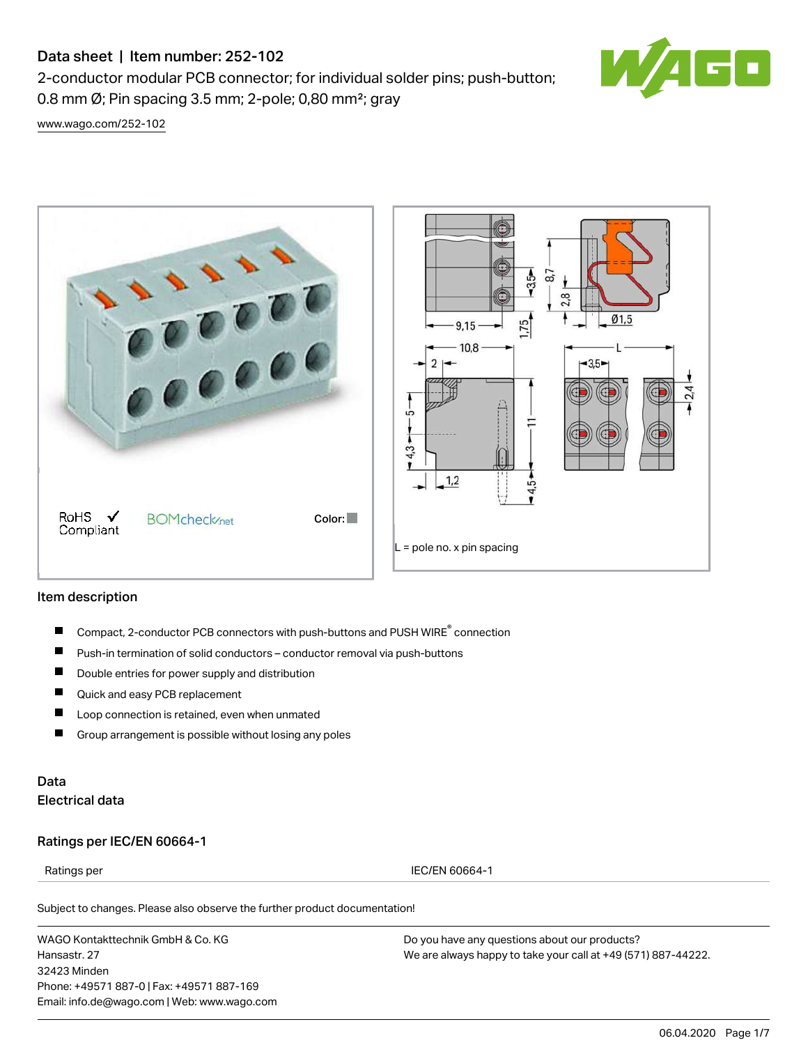# Data sheet | Item number: 252-102

2-conductor modular PCB connector; for individual solder pins; push-button; 0.8 mm Ø; Pin spacing 3.5 mm; 2-pole; 0,80 mm²; gray



[www.wago.com/252-102](http://www.wago.com/252-102)



#### Item description

- Compact, 2-conductor PCB connectors with push-buttons and PUSH WIRE<sup>®</sup> connection П
- $\blacksquare$ Push-in termination of solid conductors – conductor removal via push-buttons
- $\blacksquare$ Double entries for power supply and distribution
- $\blacksquare$ Quick and easy PCB replacement
- П Loop connection is retained, even when unmated
- $\blacksquare$ Group arrangement is possible without losing any poles

## Data Electrical data

#### Ratings per IEC/EN 60664-1

Ratings per IEC/EN 60664-1

Subject to changes. Please also observe the further product documentation!

WAGO Kontakttechnik GmbH & Co. KG Hansastr. 27 32423 Minden Phone: +49571 887-0 | Fax: +49571 887-169 Email: info.de@wago.com | Web: www.wago.com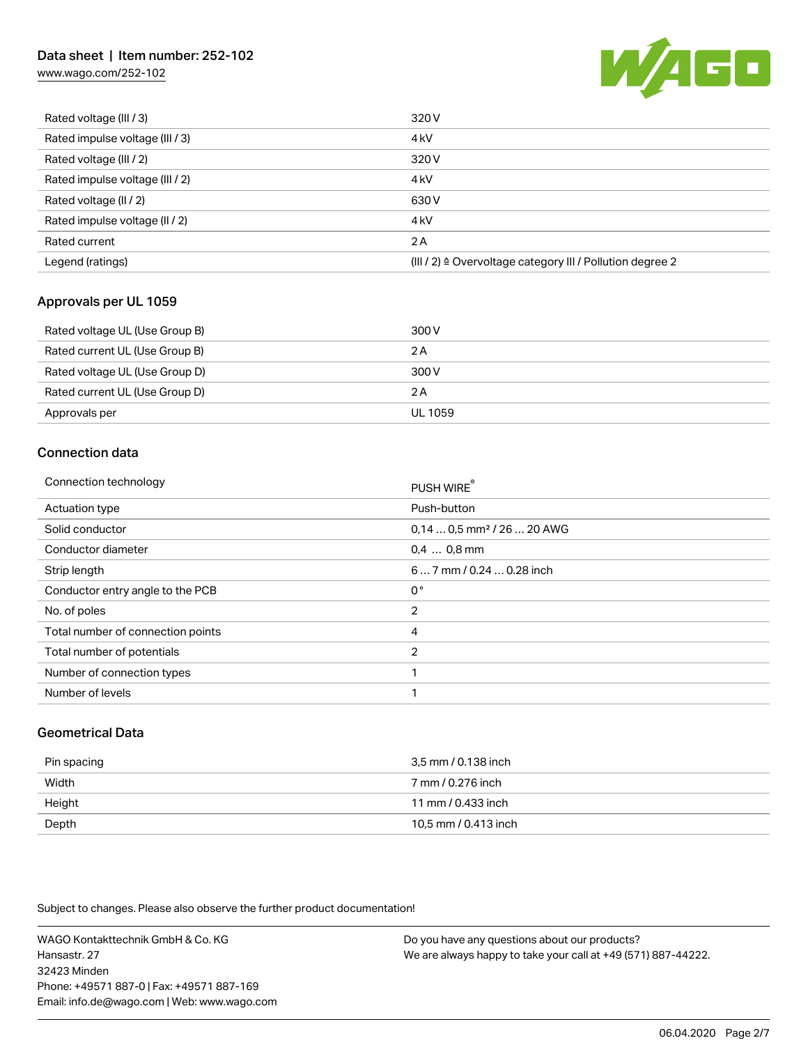## Data sheet | Item number: 252-102

[www.wago.com/252-102](http://www.wago.com/252-102)



| Rated voltage (III / 3)         | 320 V                                                                |
|---------------------------------|----------------------------------------------------------------------|
| Rated impulse voltage (III / 3) | 4 <sub>k</sub> V                                                     |
| Rated voltage (III / 2)         | 320 V                                                                |
| Rated impulse voltage (III / 2) | 4 <sub>k</sub> V                                                     |
| Rated voltage (II / 2)          | 630 V                                                                |
| Rated impulse voltage (II / 2)  | 4 <sub>k</sub> V                                                     |
| Rated current                   | 2A                                                                   |
| Legend (ratings)                | (III / 2) $\triangleq$ Overvoltage category III / Pollution degree 2 |

### Approvals per UL 1059

| Rated voltage UL (Use Group B) | 300 V   |
|--------------------------------|---------|
| Rated current UL (Use Group B) | 2 A     |
| Rated voltage UL (Use Group D) | 300 V   |
| Rated current UL (Use Group D) | 2 A     |
| Approvals per                  | UL 1059 |

## Connection data

| PUSH WIRE®                             |
|----------------------------------------|
| Push-button                            |
| $0.140.5$ mm <sup>2</sup> / 26  20 AWG |
| $0.4$ 0.8 mm                           |
| 6 7 mm / 0.24  0.28 inch               |
| 0°                                     |
| $\overline{2}$                         |
| 4                                      |
| $\overline{2}$                         |
| 1                                      |
| 1                                      |
|                                        |

### Geometrical Data

| Pin spacing | 3.5 mm / 0.138 inch  |
|-------------|----------------------|
| Width       | 7 mm / 0.276 inch    |
| Height      | 11 mm / 0.433 inch   |
| Depth       | 10.5 mm / 0.413 inch |

Subject to changes. Please also observe the further product documentation!

WAGO Kontakttechnik GmbH & Co. KG Hansastr. 27 32423 Minden Phone: +49571 887-0 | Fax: +49571 887-169 Email: info.de@wago.com | Web: www.wago.com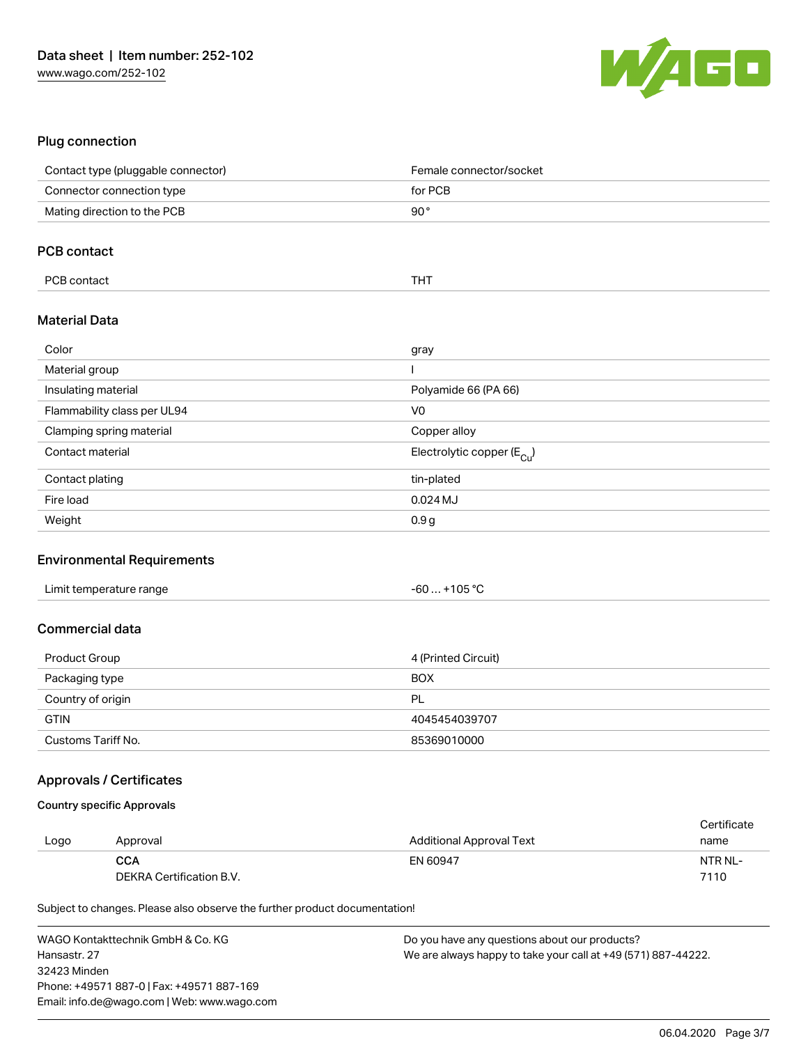

### Plug connection

| Contact type (pluggable connector) | Female connector/socket                 |
|------------------------------------|-----------------------------------------|
| Connector connection type          | for PCB                                 |
| Mating direction to the PCB        | $90^{\circ}$                            |
|                                    |                                         |
| <b>PCB contact</b>                 |                                         |
| PCB contact                        | <b>THT</b>                              |
| <b>Material Data</b>               |                                         |
| Color                              | gray                                    |
| Material group                     |                                         |
| Insulating material                | Polyamide 66 (PA 66)                    |
| Flammability class per UL94        | V <sub>0</sub>                          |
| Clamping spring material           | Copper alloy                            |
| Contact material                   | Electrolytic copper ( $E_{\text{Cu}}$ ) |
| Contact plating                    | tin-plated                              |
| Fire load                          | $0.024$ MJ                              |
| Weight                             | 0.9 <sub>g</sub>                        |

#### Environmental Requirements

| Limit temperature range | $. +105 °C$<br>- 60  . |  |
|-------------------------|------------------------|--|
|-------------------------|------------------------|--|

#### Commercial data

| Product Group      | 4 (Printed Circuit) |
|--------------------|---------------------|
| Packaging type     | <b>BOX</b>          |
| Country of origin  | PL                  |
| <b>GTIN</b>        | 4045454039707       |
| Customs Tariff No. | 85369010000         |

#### Approvals / Certificates

#### Country specific Approvals

|      |                          |                          | Certificate |
|------|--------------------------|--------------------------|-------------|
| Logo | Approval                 | Additional Approval Text | name        |
|      | <b>CCA</b>               | EN 60947                 | NTR NL-     |
|      | DEKRA Certification B.V. |                          | 7110        |

Subject to changes. Please also observe the further product documentation!

WAGO Kontakttechnik GmbH & Co. KG Hansastr. 27 32423 Minden Phone: +49571 887-0 | Fax: +49571 887-169 Email: info.de@wago.com | Web: www.wago.com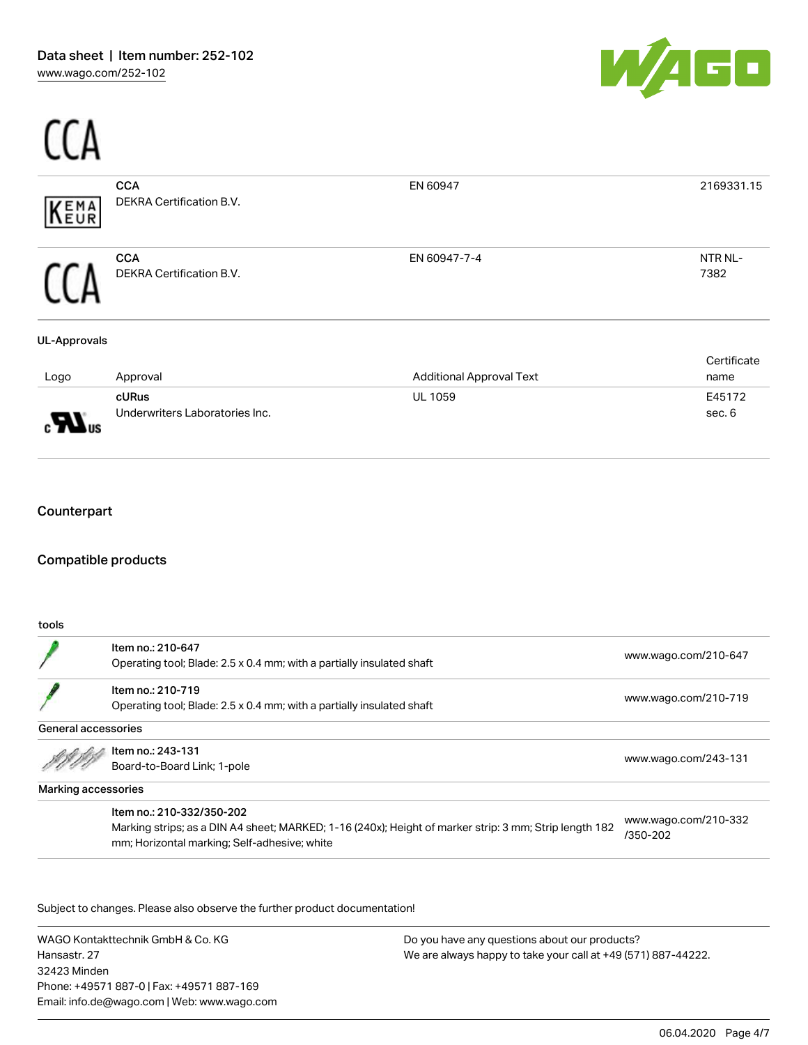$\sim$ 



| EMA<br>EUR          | <b>CCA</b><br>DEKRA Certification B.V. | EN 60947                        | 2169331.15          |
|---------------------|----------------------------------------|---------------------------------|---------------------|
|                     | <b>CCA</b><br>DEKRA Certification B.V. | EN 60947-7-4                    | NTR NL-<br>7382     |
| <b>UL-Approvals</b> |                                        |                                 |                     |
| Logo                | Approval                               | <b>Additional Approval Text</b> | Certificate<br>name |
|                     | cURus                                  | UL 1059                         | E45172              |
| $\mathbf{w}$ us     | Underwriters Laboratories Inc.         |                                 | sec. 6              |
| Counterpart         |                                        |                                 |                     |
|                     | <b>Compatible products</b>             |                                 |                     |
| tools               |                                        |                                 |                     |

|                     | Item no.: 210-647<br>Operating tool; Blade: 2.5 x 0.4 mm; with a partially insulated shaft | www.wago.com/210-647 |
|---------------------|--------------------------------------------------------------------------------------------|----------------------|
|                     | Item no.: 210-719<br>Operating tool; Blade: 2.5 x 0.4 mm; with a partially insulated shaft | www.wago.com/210-719 |
| General accessories |                                                                                            |                      |
|                     | Item no.: 243-131<br>Board-to-Board Link; 1-pole                                           | www.wago.com/243-131 |

Marking accessories

Item no.: 210-332/350-202

Marking strips; as a DIN A4 sheet; MARKED; 1-16 (240x); Height of marker strip: 3 mm; Strip length 182 mm; Horizontal marking; Self-adhesive; white

[www.wago.com/210-332](http://www.wago.com/210-332/350-202) [/350-202](http://www.wago.com/210-332/350-202)

Subject to changes. Please also observe the further product documentation!

WAGO Kontakttechnik GmbH & Co. KG Hansastr. 27 32423 Minden Phone: +49571 887-0 | Fax: +49571 887-169 Email: info.de@wago.com | Web: www.wago.com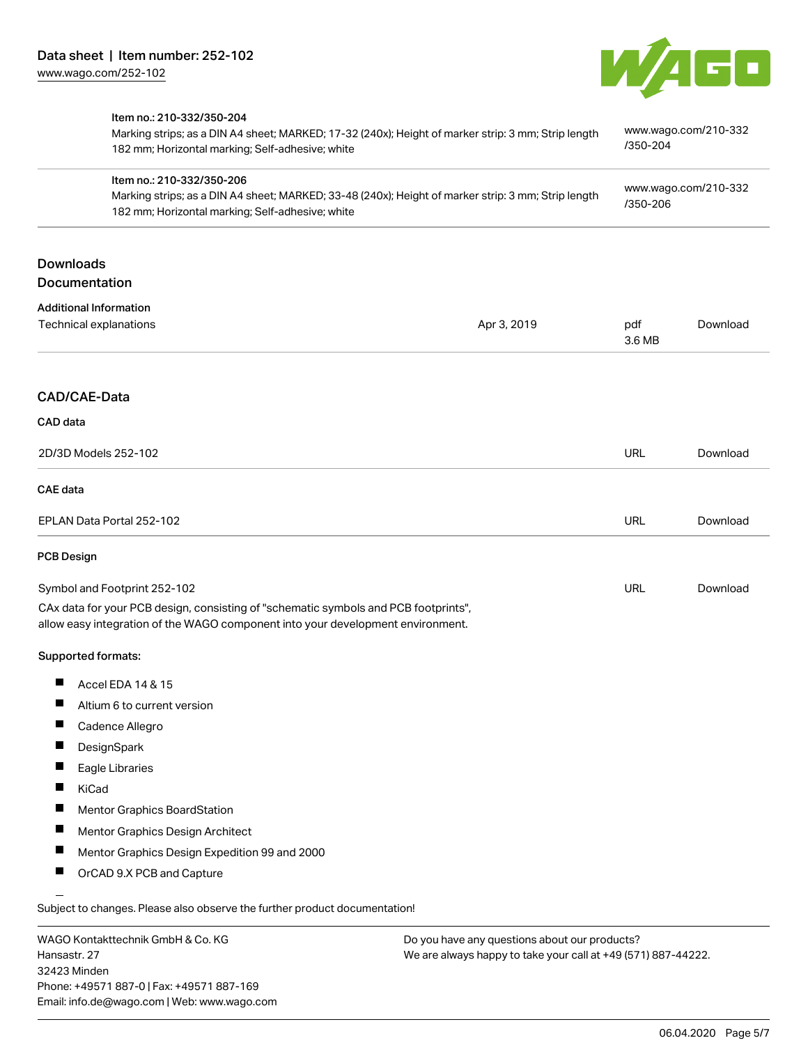

|                                                                                                                                                                                      | 182 mm; Horizontal marking; Self-adhesive; white | /350-204                         |          |
|--------------------------------------------------------------------------------------------------------------------------------------------------------------------------------------|--------------------------------------------------|----------------------------------|----------|
| Item no.: 210-332/350-206<br>Marking strips; as a DIN A4 sheet; MARKED; 33-48 (240x); Height of marker strip: 3 mm; Strip length<br>182 mm; Horizontal marking; Self-adhesive; white |                                                  | www.wago.com/210-332<br>/350-206 |          |
| <b>Downloads</b><br><b>Documentation</b>                                                                                                                                             |                                                  |                                  |          |
| <b>Additional Information</b><br>Technical explanations                                                                                                                              | Apr 3, 2019                                      | pdf<br>3.6 MB                    | Download |
| CAD/CAE-Data                                                                                                                                                                         |                                                  |                                  |          |
| CAD data                                                                                                                                                                             |                                                  |                                  |          |
| 2D/3D Models 252-102                                                                                                                                                                 |                                                  | URL                              | Download |
| <b>CAE</b> data                                                                                                                                                                      |                                                  |                                  |          |
| EPLAN Data Portal 252-102                                                                                                                                                            |                                                  | URL                              | Download |
| <b>PCB Design</b>                                                                                                                                                                    |                                                  |                                  |          |
| Symbol and Footprint 252-102                                                                                                                                                         |                                                  | URL                              | Download |
| CAx data for your PCB design, consisting of "schematic symbols and PCB footprints",<br>allow easy integration of the WAGO component into your development environment.               |                                                  |                                  |          |
| Supported formats:                                                                                                                                                                   |                                                  |                                  |          |
| ш<br>Accel EDA 14 & 15                                                                                                                                                               |                                                  |                                  |          |
| Altium 6 to current version                                                                                                                                                          |                                                  |                                  |          |
| Cadence Allegro                                                                                                                                                                      |                                                  |                                  |          |
| DesignSpark                                                                                                                                                                          |                                                  |                                  |          |
| Eagle Libraries                                                                                                                                                                      |                                                  |                                  |          |
| KiCad                                                                                                                                                                                |                                                  |                                  |          |
| Mentor Graphics BoardStation                                                                                                                                                         |                                                  |                                  |          |
| Mentor Graphics Design Architect                                                                                                                                                     |                                                  |                                  |          |
| Mentor Graphics Design Expedition 99 and 2000                                                                                                                                        |                                                  |                                  |          |
| OrCAD 9.X PCB and Capture                                                                                                                                                            |                                                  |                                  |          |

WAGO Kontakttechnik GmbH & Co. KG Hansastr. 27 32423 Minden Phone: +49571 887-0 | Fax: +49571 887-169 Email: info.de@wago.com | Web: www.wago.com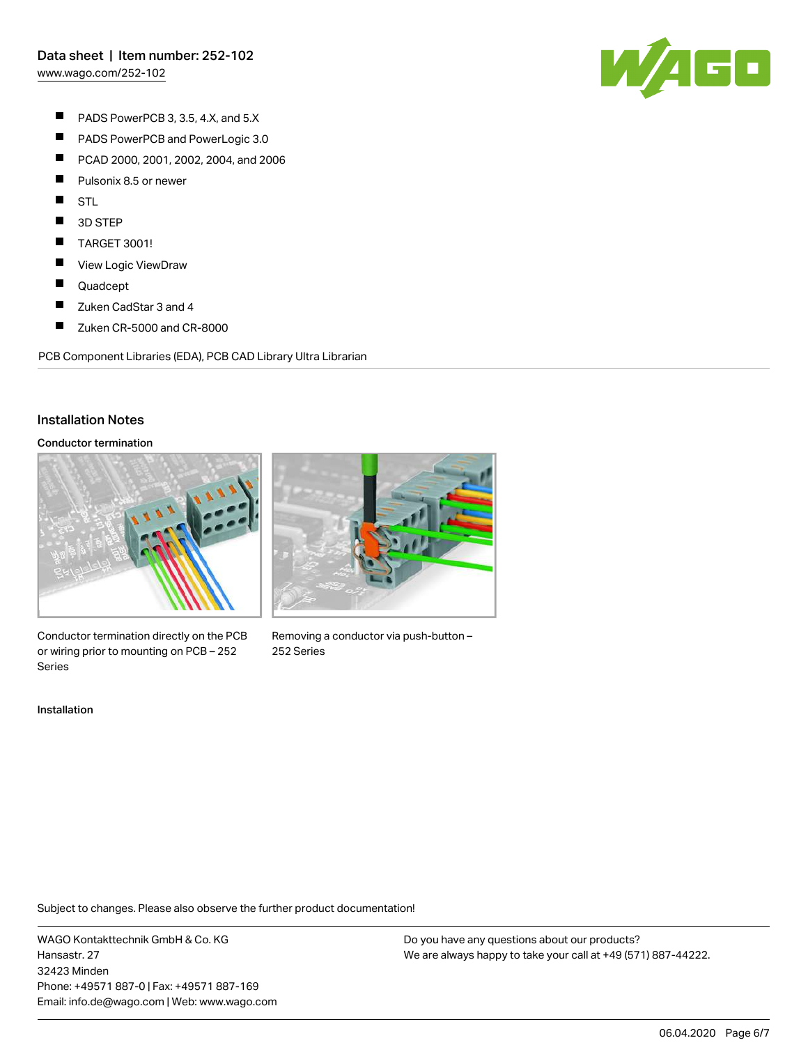[www.wago.com/252-102](http://www.wago.com/252-102)



- $\blacksquare$ PADS PowerPCB 3, 3.5, 4.X, and 5.X
- $\blacksquare$ PADS PowerPCB and PowerLogic 3.0
- $\blacksquare$ PCAD 2000, 2001, 2002, 2004, and 2006
- $\blacksquare$ Pulsonix 8.5 or newer
- $\blacksquare$ STL
- П 3D STEP
- $\blacksquare$ TARGET 3001!
- $\blacksquare$ View Logic ViewDraw
- $\blacksquare$ Quadcept
- $\blacksquare$ Zuken CadStar 3 and 4
- $\blacksquare$ Zuken CR-5000 and CR-8000

PCB Component Libraries (EDA), PCB CAD Library Ultra Librarian

#### Installation Notes

#### Conductor termination



Conductor termination directly on the PCB or wiring prior to mounting on PCB – 252 Series

Installation



Removing a conductor via push-button – 252 Series

Subject to changes. Please also observe the further product documentation!

WAGO Kontakttechnik GmbH & Co. KG Hansastr. 27 32423 Minden Phone: +49571 887-0 | Fax: +49571 887-169 Email: info.de@wago.com | Web: www.wago.com